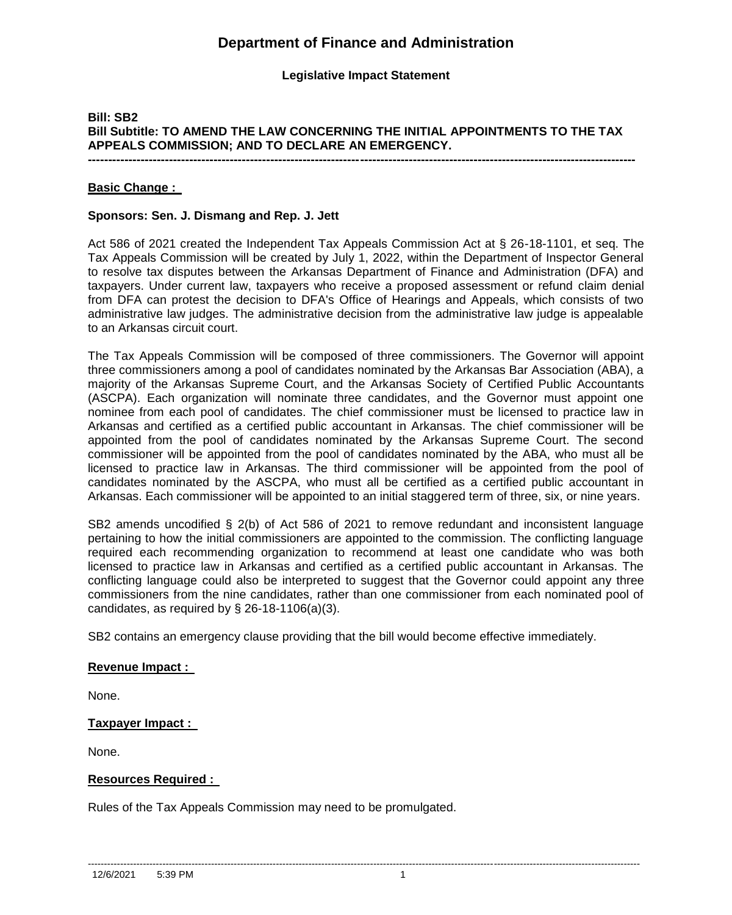# **Department of Finance and Administration**

### **Legislative Impact Statement**

### **Bill: SB2 Bill Subtitle: TO AMEND THE LAW CONCERNING THE INITIAL APPOINTMENTS TO THE TAX APPEALS COMMISSION; AND TO DECLARE AN EMERGENCY. ---------------------------------------------------------------------------------------------------------------------------------------**

**Basic Change :** 

#### **Sponsors: Sen. J. Dismang and Rep. J. Jett**

Act 586 of 2021 created the Independent Tax Appeals Commission Act at § 26-18-1101, et seq. The Tax Appeals Commission will be created by July 1, 2022, within the Department of Inspector General to resolve tax disputes between the Arkansas Department of Finance and Administration (DFA) and taxpayers. Under current law, taxpayers who receive a proposed assessment or refund claim denial from DFA can protest the decision to DFA's Office of Hearings and Appeals, which consists of two administrative law judges. The administrative decision from the administrative law judge is appealable to an Arkansas circuit court.

The Tax Appeals Commission will be composed of three commissioners. The Governor will appoint three commissioners among a pool of candidates nominated by the Arkansas Bar Association (ABA), a majority of the Arkansas Supreme Court, and the Arkansas Society of Certified Public Accountants (ASCPA). Each organization will nominate three candidates, and the Governor must appoint one nominee from each pool of candidates. The chief commissioner must be licensed to practice law in Arkansas and certified as a certified public accountant in Arkansas. The chief commissioner will be appointed from the pool of candidates nominated by the Arkansas Supreme Court. The second commissioner will be appointed from the pool of candidates nominated by the ABA, who must all be licensed to practice law in Arkansas. The third commissioner will be appointed from the pool of candidates nominated by the ASCPA, who must all be certified as a certified public accountant in Arkansas. Each commissioner will be appointed to an initial staggered term of three, six, or nine years.

SB2 amends uncodified § 2(b) of Act 586 of 2021 to remove redundant and inconsistent language pertaining to how the initial commissioners are appointed to the commission. The conflicting language required each recommending organization to recommend at least one candidate who was both licensed to practice law in Arkansas and certified as a certified public accountant in Arkansas. The conflicting language could also be interpreted to suggest that the Governor could appoint any three commissioners from the nine candidates, rather than one commissioner from each nominated pool of candidates, as required by  $\S$  26-18-1106(a)(3).

SB2 contains an emergency clause providing that the bill would become effective immediately.

### **Revenue Impact :**

None.

### **Taxpayer Impact :**

None.

### **Resources Required :**

Rules of the Tax Appeals Commission may need to be promulgated.